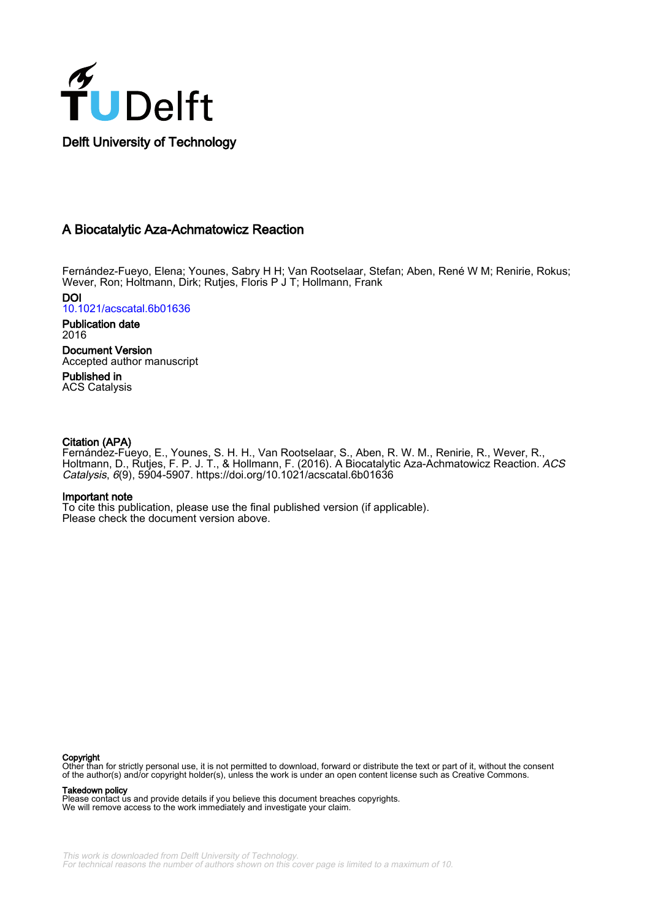

# A Biocatalytic Aza-Achmatowicz Reaction

Fernández-Fueyo, Elena; Younes, Sabry H H; Van Rootselaar, Stefan; Aben, René W M; Renirie, Rokus; Wever, Ron; Holtmann, Dirk; Rutjes, Floris P J T; Hollmann, Frank

DOI [10.1021/acscatal.6b01636](https://doi.org/10.1021/acscatal.6b01636)

Publication date 2016

Document Version Accepted author manuscript

Published in ACS Catalysis

## Citation (APA)

Fernández-Fueyo, E., Younes, S. H. H., Van Rootselaar, S., Aben, R. W. M., Renirie, R., Wever, R., Holtmann, D., Rutjes, F. P. J. T., & Hollmann, F. (2016). A Biocatalytic Aza-Achmatowicz Reaction. *ACS* Catalysis, 6(9), 5904-5907. <https://doi.org/10.1021/acscatal.6b01636>

### Important note

To cite this publication, please use the final published version (if applicable). Please check the document version above.

### **Copyright**

Other than for strictly personal use, it is not permitted to download, forward or distribute the text or part of it, without the consent of the author(s) and/or copyright holder(s), unless the work is under an open content license such as Creative Commons.

### Takedown policy

Please contact us and provide details if you believe this document breaches copyrights. We will remove access to the work immediately and investigate your claim.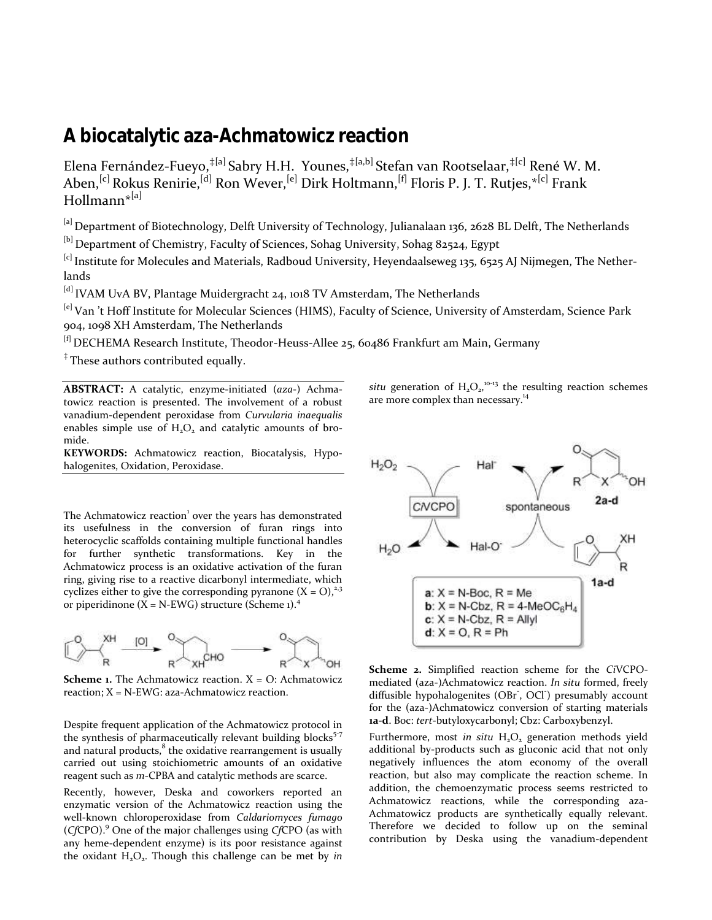# **A biocatalytic aza-Achmatowicz reaction**

Elena Fernández-Fueyo,<sup>‡[a]</sup> Sabry H.H. Younes,<sup>‡[a,b]</sup> Stefan van Rootselaar,<sup>‡[c]</sup> René W. M. Aben,<sup>[c]</sup> Rokus Renirie,<sup>[d]</sup> Ron Wever,<sup>[e]</sup> Dirk Holtmann,<sup>[f]</sup> Floris P. J. T. Rutjes,\*<sup>[c]</sup> Frank Hollmann\*[a]

[a] Department of Biotechnology, Delft University of Technology, Julianalaan 136, 2628 BL Delft, The Netherlands

[b] Department of Chemistry, Faculty of Sciences, Sohag University, Sohag 82524, Egypt

<sup>[c]</sup> Institute for Molecules and Materials, Radboud University, Heyendaalseweg 135, 6525 AJ Nijmegen, The Netherlands

[d] IVAM UvA BV, Plantage Muidergracht 24, 1018 TV Amsterdam, The Netherlands

<sup>[e]</sup> Van 't Hoff Institute for Molecular Sciences (HIMS), Faculty of Science, University of Amsterdam, Science Park 904, 1098 XH Amsterdam, The Netherlands

[f] DECHEMA Research Institute, Theodor-Heuss-Allee 25, 60486 Frankfurt am Main, Germany

<sup>‡</sup> These authors contributed equally.

**ABSTRACT:** A catalytic, enzyme-initiated (*aza*-) Achmatowicz reaction is presented. The involvement of a robust vanadium-dependent peroxidase from *Curvularia inaequalis* enables simple use of  $H_2O_2$  and catalytic amounts of bromide.

**KEYWORDS:** Achmatowicz reaction, Biocatalysis, Hypohalogenites, Oxidation, Peroxidase.

The Achmatowicz reaction<sup>1</sup> over the years has demonstrated its usefulness in the conversion of furan rings into heterocyclic scaffolds containing multiple functional handles for further synthetic transformations. Key in the Achmatowicz process is an oxidative activation of the furan ring, giving rise to a reactive dicarbonyl intermediate, which cyclizes either to give the corresponding pyranone  $(X = O)^{2,3}$ or piperidinone ( $\bar{X}$  = N-EWG) structure [\(Scheme 1\)](#page-1-0).<sup>4</sup>



<span id="page-1-0"></span>**Scheme 1.** The Achmatowicz reaction. X = O: Achmatowicz reaction; X = N-EWG: aza-Achmatowicz reaction.

Despite frequent application of the Achmatowicz protocol in the synthesis of pharmaceutically relevant building blocks<sup>5-7</sup> and natural products, $^8$  the oxidative rearrangement is usually carried out using stoichiometric amounts of an oxidative reagent such as *m*-CPBA and catalytic methods are scarce.

Recently, however, Deska and coworkers reported an enzymatic version of the Achmatowicz reaction using the well-known chloroperoxidase from *Caldariomyces fumago* (*Cf*CPO). <sup>9</sup> One of the major challenges using *Cf*CPO (as with any heme-dependent enzyme) is its poor resistance against the oxidant H<sub>2</sub>O<sub>2</sub>. Though this challenge can be met by *in*  situ generation of  $H_2O_2$ ,<sup>10-13</sup> the resulting reaction schemes are more complex than necessary.<sup>14</sup>



<span id="page-1-1"></span>**Scheme 2.** Simplified reaction scheme for the *Ci*VCPOmediated (aza-)Achmatowicz reaction. *In situ* formed, freely diffusible hypohalogenites (OBr<sup>-</sup>, OCl<sup>-</sup>) presumably account for the (aza-)Achmatowicz conversion of starting materials **1a-d**. Boc: *tert*-butyloxycarbonyl; Cbz: Carboxybenzyl.

Furthermore, most *in situ* H<sub>2</sub>O<sub>2</sub> generation methods yield additional by-products such as gluconic acid that not only negatively influences the atom economy of the overall reaction, but also may complicate the reaction scheme. In addition, the chemoenzymatic process seems restricted to Achmatowicz reactions, while the corresponding aza-Achmatowicz products are synthetically equally relevant. Therefore we decided to follow up on the seminal contribution by Deska using the vanadium-dependent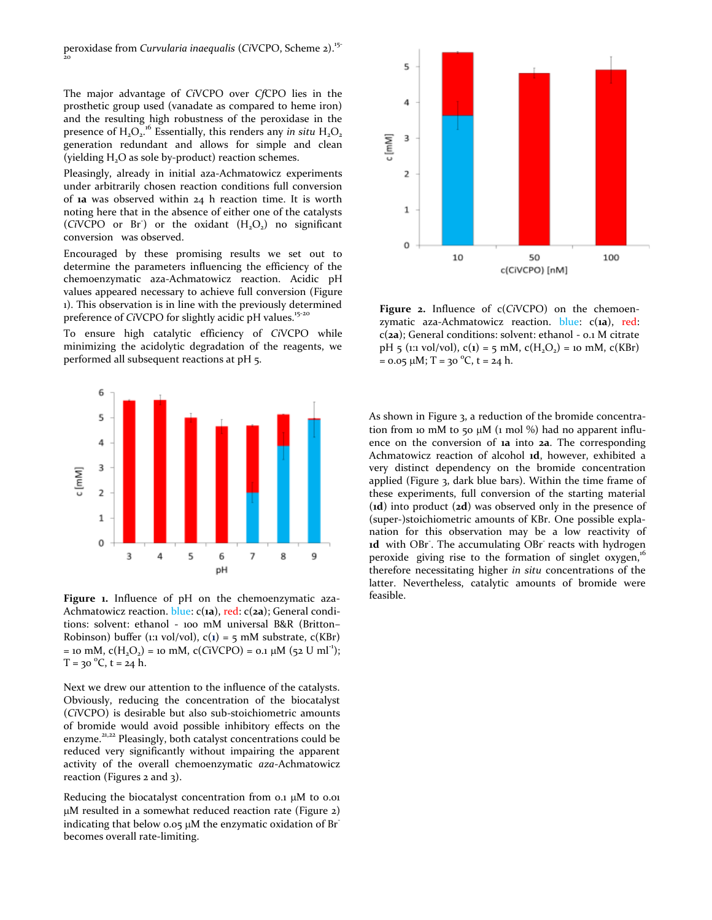peroxidase from *Curvularia inaequalis* (*Ci*VCPO, [Scheme 2\)](#page-1-1).15-  $\frac{1}{2}$ o

The major advantage of *Ci*VCPO over *Cf*CPO lies in the prosthetic group used (vanadate as compared to heme iron) and the resulting high robustness of the peroxidase in the presence of  $H_2O_2$ <sup>16</sup> Essentially, this renders any *in situ*  $H_2O_2$ generation redundant and allows for simple and clean (yielding  $H_2O$  as sole by-product) reaction schemes.

Pleasingly, already in initial aza-Achmatowicz experiments under arbitrarily chosen reaction conditions full conversion of **1a** was observed within 24 h reaction time. It is worth noting here that in the absence of either one of the catalysts  $(CiVCPO$  or Br<sup>2</sup>) or the oxidant  $(H_2O_2)$  no significant conversion was observed.

Encouraged by these promising results we set out to determine the parameters influencing the efficiency of the chemoenzymatic aza-Achmatowicz reaction. Acidic pH values appeared necessary to achieve full conversion [\(Figure](#page-2-0)  [1\)](#page-2-0). This observation is in line with the previously determined preference of *CiVCPO* for slightly acidic pH values.<sup>15-20</sup>

To ensure high catalytic efficiency of *Ci*VCPO while minimizing the acidolytic degradation of the reagents, we performed all subsequent reactions at pH 5.



<span id="page-2-0"></span>**Figure 1.** Influence of pH on the chemoenzymatic aza-Achmatowicz reaction. blue: c(**1a**), red: c(**2a**); General conditions: solvent: ethanol - 100 mM universal B&R (Britton– Robinson) buffer (1:1 vol/vol),  $c(1) = 5$  mM substrate,  $c(KBr)$ = 10 mM,  $c(H_2O_2)$  = 10 mM,  $c(CiVCPO)$  = 0.1  $\mu$ M (52 U ml<sup>-1</sup>);  $T = 30 °C$ ,  $t = 24 h$ .

Next we drew our attention to the influence of the catalysts. Obviously, reducing the concentration of the biocatalyst (*Ci*VCPO) is desirable but also sub-stoichiometric amounts of bromide would avoid possible inhibitory effects on the enzyme.<sup>21,22</sup> Pleasingly, both catalyst concentrations could be reduced very significantly without impairing the apparent activity of the overall chemoenzymatic *aza*-Achmatowicz reaction (Figures 2 and 3).

Reducing the biocatalyst concentration from 0.1 µM to 0.01 M resulted in a somewhat reduced reaction rate [\(Figure 2\)](#page-2-1) indicating that below 0.05  $\mu$ M the enzymatic oxidation of Br<sup>-</sup> becomes overall rate-limiting.



<span id="page-2-1"></span>**Figure 2.** Influence of c(*Ci*VCPO) on the chemoenzymatic aza-Achmatowicz reaction. blue: c(**1a**), red: c(**2a**); General conditions: solvent: ethanol - 0.1 M citrate pH 5 (1:1 vol/vol),  $c(\mathbf{1}) = 5$  mM,  $c(H_2O_2) = 10$  mM,  $c(KBr)$ =  $0.05 \mu M$ ; T =  $30 \text{ °C}$ , t =  $24 \text{ h}$ .

As shown in [Figure 3,](#page-3-0) a reduction of the bromide concentration from 10 mM to 50  $\mu$ M (1 mol %) had no apparent influence on the conversion of **1a** into **2a**. The corresponding Achmatowicz reaction of alcohol **1d**, however, exhibited a very distinct dependency on the bromide concentration applied [\(Figure 3,](#page-3-0) dark blue bars). Within the time frame of these experiments, full conversion of the starting material (**1d**) into product (**2d**) was observed only in the presence of (super-)stoichiometric amounts of KBr. One possible explanation for this observation may be a low reactivity of 1d with OBr<sup>7</sup>. The accumulating OBr<sup>7</sup> reacts with hydrogen peroxide giving rise to the formation of singlet oxygen, $\frac{1}{h}$ therefore necessitating higher *in situ* concentrations of the latter. Nevertheless, catalytic amounts of bromide were feasible.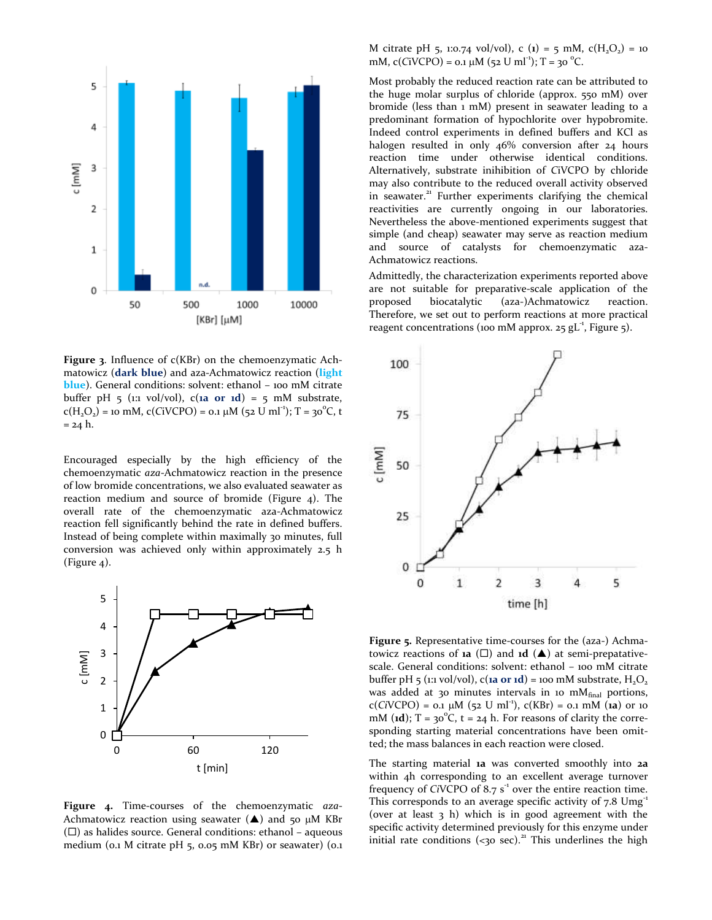

<span id="page-3-0"></span>**Figure 3**. Influence of c(KBr) on the chemoenzymatic Achmatowicz (**dark blue**) and aza-Achmatowicz reaction (**light blue**). General conditions: solvent: ethanol - 100 mM citrate buffer pH  $\frac{1}{2}$  (1:1 vol/vol), c(**1a or 1d**) =  $\frac{1}{2}$  mM substrate,  $c(H_2O_2) =$  10 mM,  $c(CiVCPO) = 0.1 \mu M (52 U ml^{-1})$ ; T = 30<sup>°</sup>C, t  $= 24 h.$ 

Encouraged especially by the high efficiency of the chemoenzymatic *aza*-Achmatowicz reaction in the presence of low bromide concentrations, we also evaluated seawater as reaction medium and source of bromide [\(Figure 4\)](#page-3-1). The overall rate of the chemoenzymatic aza-Achmatowicz reaction fell significantly behind the rate in defined buffers. Instead of being complete within maximally 30 minutes, full conversion was achieved only within approximately 2.5 h [\(Figure 4\)](#page-3-1).



<span id="page-3-1"></span>**Figure 4.** Time-courses of the chemoenzymatic *aza*-Achmatowicz reaction using seawater  $(\triangle)$  and 50 µM KBr  $(\Box)$  as halides source. General conditions: ethanol – aqueous medium (0.1 M citrate pH 5, 0.05 mM KBr) or seawater) (0.1

M citrate pH 5, 1:0.74 vol/vol), c (1) = 5 mM,  $c(H_2O_2)$  = 10 mM,  $c(CiVCPO) = 0.1 \mu M (52 U ml<sup>-1</sup>)$ ; T = 30 <sup>o</sup>C.

Most probably the reduced reaction rate can be attributed to the huge molar surplus of chloride (approx. 550 mM) over bromide (less than 1 mM) present in seawater leading to a predominant formation of hypochlorite over hypobromite. Indeed control experiments in defined buffers and KCl as halogen resulted in only 46% conversion after 24 hours reaction time under otherwise identical conditions. Alternatively, substrate inihibition of *C*iVCPO by chloride may also contribute to the reduced overall activity observed in seawater.<sup>21</sup> Further experiments clarifying the chemical reactivities are currently ongoing in our laboratories. Nevertheless the above-mentioned experiments suggest that simple (and cheap) seawater may serve as reaction medium and source of catalysts for chemoenzymatic aza-Achmatowicz reactions.

Admittedly, the characterization experiments reported above are not suitable for preparative-scale application of the proposed biocatalytic (aza-)Achmatowicz reaction. Therefore, we set out to perform reactions at more practical reagent concentrations (100 mM approx. 25  $gL<sup>-1</sup>$ [, Figure 5\)](#page-3-2).



<span id="page-3-2"></span>**Figure 5.** Representative time-courses for the (aza-) Achmatowicz reactions of **1a** ( $\square$ ) and **1d** ( $\triangle$ ) at semi-prepatativescale. General conditions: solvent: ethanol – 100 mM citrate buffer pH  $\overline{5}$  (1:1 vol/vol), c(**1a or 1d**) = 100 mM substrate, H<sub>2</sub>O<sub>2</sub> was added at 30 minutes intervals in 10 mM $_{final}$  portions,  $c(CiVCPO) = 0.1 \mu M (52 U ml<sup>-1</sup>), c(KBr) = 0.1 mM (1a)$  or 10 mM ( $\textbf{1d}$ ); T =  $30^{\circ}$ C, t = 24 h. For reasons of clarity the corresponding starting material concentrations have been omitted; the mass balances in each reaction were closed.

The starting material **1a** was converted smoothly into **2a** within 4h corresponding to an excellent average turnover frequency of *Ci*VCPO of 8.7 s<sup>-1</sup> over the entire reaction time. This corresponds to an average specific activity of  $7.8 \text{ Umg}^{-1}$ (over at least 3 h) which is in good agreement with the specific activity determined previously for this enzyme under initial rate conditions (<30 sec).<sup>21</sup> This underlines the high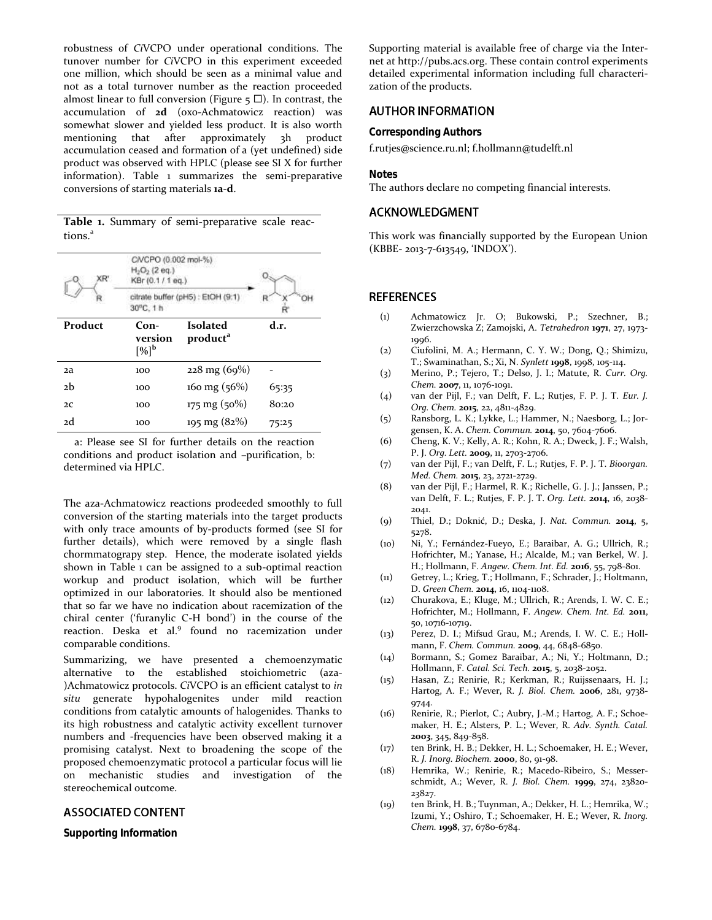robustness of *Ci*VCPO under operational conditions. The tunover number for *Ci*VCPO in this experiment exceeded one million, which should be seen as a minimal value and not as a total turnover number as the reaction proceeded almost linear to full conversion (Figure  $\overline{5}$   $\Box$ ). In contrast, the accumulation of **2d** (oxo-Achmatowicz reaction) was somewhat slower and yielded less product. It is also worth mentioning that after approximately 3h product accumulation ceased and formation of a (yet undefined) side product was observed with HPLC (please see SI X for further information). Table 1 summarizes the semi-preparative conversions of starting materials **1a-d**.

**Table 1.** Summary of semi-preparative scale reactions.<sup>a</sup>

| XR'     | CIVCPO (0.002 mol-%)<br>$H_2O_2$ (2 eq.)<br>KBr (0.1 / 1 eq.) |                                         |       |
|---------|---------------------------------------------------------------|-----------------------------------------|-------|
|         | citrate buffer (pH5) : EtOH (9:1)<br>30°C. 1 h                |                                         |       |
| Product | $Con-$<br>version<br>$[%]^{b}$                                | <b>Isolated</b><br>product <sup>a</sup> | d.r.  |
| 2a      | 100                                                           | $228 \text{ mg} (69\%)$                 |       |
| 2h      | 100                                                           | 160 mg $(56%)$                          | 65:35 |
| 2C      | 100                                                           | $175 \text{ mg } (50\%)$                | 80:20 |
| 2d      | 100                                                           | $195 \text{ mg} (82\%)$                 | 75:25 |

a: Please see SI for further details on the reaction conditions and product isolation and –purification, b: determined via HPLC.

The aza-Achmatowicz reactions prodeeded smoothly to full conversion of the starting materials into the target products with only trace amounts of by-products formed (see SI for further details), which were removed by a single flash chormmatograpy step. Hence, the moderate isolated yields shown in Table 1 can be assigned to a sub-optimal reaction workup and product isolation, which will be further optimized in our laboratories. It should also be mentioned that so far we have no indication about racemization of the chiral center ('furanylic C-H bond') in the course of the reaction. Deska et al.<sup>9</sup> found no racemization under comparable conditions.

Summarizing, we have presented a chemoenzymatic alternative to the established stoichiometric (aza- )Achmatowicz protocols. *Ci*VCPO is an efficient catalyst to *in situ* generate hypohalogenites under mild reaction conditions from catalytic amounts of halogenides. Thanks to its high robustness and catalytic activity excellent turnover numbers and -frequencies have been observed making it a promising catalyst. Next to broadening the scope of the proposed chemoenzymatic protocol a particular focus will lie on mechanistic studies and investigation of the stereochemical outcome.

# **ASSOCIATED CONTENT**

**Supporting Information**

Supporting material is available free of charge via the Internet at http://pubs.acs.org. These contain control experiments detailed experimental information including full characterization of the products.

## **AUTHOR INFORMATION**

**Corresponding Authors**

f.rutjes@science.ru.nl; f.hollmann@tudelft.nl

**Notes**

The authors declare no competing financial interests.

## **ACKNOWLEDGMENT**

This work was financially supported by the European Union (KBBE- 2013-7-613549, 'INDOX').

### **REFERENCES**

- (1) Achmatowicz Jr. O; Bukowski, P.; Szechner, B.; Zwierzchowska Z; Zamojski, A. *Tetrahedron* **1971**, 27, 1973- 1996.
- (2) Ciufolini, M. A.; Hermann, C. Y. W.; Dong, Q.; Shimizu, T.; Swaminathan, S.; Xi, N. *Synlett* **1998**, 1998, 105-114.
- (3) Merino, P.; Tejero, T.; Delso, J. I.; Matute, R. *Curr. Org. Chem.* **2007**, 11, 1076-1091.
- (4) van der Pijl, F.; van Delft, F. L.; Rutjes, F. P. J. T. *Eur. J. Org. Chem.* **2015**, 22, 4811-4829.
- (5) Ransborg, L. K.; Lykke, L.; Hammer, N.; Naesborg, L.; Jorgensen, K. A. *Chem. Commun.* **2014**, 50, 7604-7606.
- (6) Cheng, K. V.; Kelly, A. R.; Kohn, R. A.; Dweck, J. F.; Walsh, P. J. *Org. Lett.* **2009**, 11, 2703-2706.
- (7) van der Pijl, F.; van Delft, F. L.; Rutjes, F. P. J. T. *Bioorgan. Med. Chem.* **2015**, 23, 2721-2729.
- (8) van der Pijl, F.; Harmel, R. K.; Richelle, G. J. J.; Janssen, P.; van Delft, F. L.; Rutjes, F. P. J. T. *Org. Lett.* **2014**, 16, 2038- 2041.
- (9) Thiel, D.; Doknić, D.; Deska, J. *Nat. Commun.* **2014**, 5, 5278.
- (10) Ni, Y.; Fernández-Fueyo, E.; Baraibar, A. G.; Ullrich, R.; Hofrichter, M.; Yanase, H.; Alcalde, M.; van Berkel, W. J. H.; Hollmann, F. *Angew. Chem. Int. Ed.* **2016**, 55, 798-801.
- (11) Getrey, L.; Krieg, T.; Hollmann, F.; Schrader, J.; Holtmann, D. *Green Chem.* **2014**, 16, 1104-1108.
- (12) Churakova, E.; Kluge, M.; Ullrich, R.; Arends, I. W. C. E.; Hofrichter, M.; Hollmann, F. *Angew. Chem. Int. Ed.* **2011**, 50, 10716-10719.
- (13) Perez, D. I.; Mifsud Grau, M.; Arends, I. W. C. E.; Hollmann, F. *Chem. Commun.* **2009**, 44, 6848-6850.
- (14) Bormann, S.; Gomez Baraibar, A.; Ni, Y.; Holtmann, D.; Hollmann, F. *Catal. Sci. Tech.* **2015**, 5, 2038-2052.
- (15) Hasan, Z.; Renirie, R.; Kerkman, R.; Ruijssenaars, H. J.; Hartog, A. F.; Wever, R. *J. Biol. Chem.* **2006**, 281, 9738- 9744.
- (16) Renirie, R.; Pierlot, C.; Aubry, J.-M.; Hartog, A. F.; Schoemaker, H. E.; Alsters, P. L.; Wever, R. *Adv. Synth. Catal.* **2003**, 345, 849-858.
- (17) ten Brink, H. B.; Dekker, H. L.; Schoemaker, H. E.; Wever, R. *J. Inorg. Biochem.* **2000**, 80, 91-98.
- (18) Hemrika, W.; Renirie, R.; Macedo-Ribeiro, S.; Messerschmidt, A.; Wever, R. *J. Biol. Chem.* **1999**, 274, 23820- 23827.
- (19) ten Brink, H. B.; Tuynman, A.; Dekker, H. L.; Hemrika, W.; Izumi, Y.; Oshiro, T.; Schoemaker, H. E.; Wever, R. *Inorg. Chem.* **1998**, 37, 6780-6784.